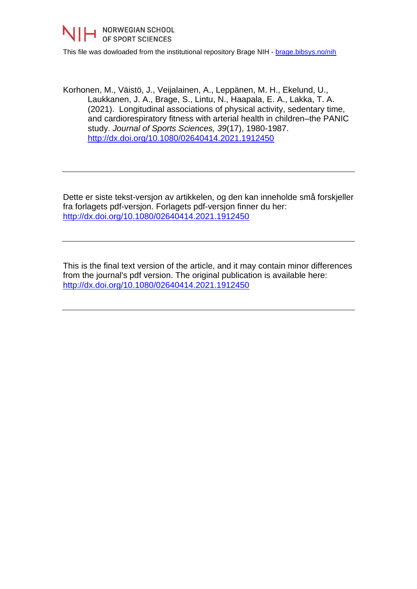

This file was dowloaded from the institutional repository Brage NIH - [brage.bibsys.no/nih](http://brage.bibsys.no/nih)

Korhonen, M., Väistö, J., Veijalainen, A., Leppänen, M. H., Ekelund, U., Laukkanen, J. A., Brage, S., Lintu, N., Haapala, E. A., Lakka, T. A. (2021). Longitudinal associations of physical activity, sedentary time, and cardiorespiratory fitness with arterial health in children–the PANIC study. *Journal of Sports Sciences, 39*(17), 1980-1987. <http://dx.doi.org/10.1080/02640414.2021.1912450>

Dette er siste tekst-versjon av artikkelen, og den kan inneholde små forskjeller fra forlagets pdf-versjon. Forlagets pdf-versjon finner du her: <http://dx.doi.org/10.1080/02640414.2021.1912450>

This is the final text version of the article, and it may contain minor differences from the journal's pdf version. The original publication is available here: <http://dx.doi.org/10.1080/02640414.2021.1912450>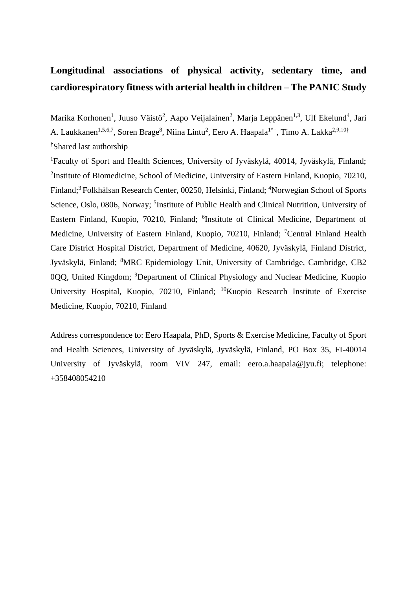# **Longitudinal associations of physical activity, sedentary time, and cardiorespiratory fitness with arterial health in children – The PANIC Study**

Marika Korhonen<sup>1</sup>, Juuso Väistö<sup>2</sup>, Aapo Veijalainen<sup>2</sup>, Marja Leppänen<sup>1,3</sup>, Ulf Ekelund<sup>4</sup>, Jari A. Laukkanen<sup>1,5,6,7</sup>, Soren Brage<sup>8</sup>, Niina Lintu<sup>2</sup>, Eero A. Haapala<sup>1\*†</sup>, Timo A. Lakka<sup>2,9,10†</sup> †Shared last authorship

<sup>1</sup>Faculty of Sport and Health Sciences, University of Jyväskylä, 40014, Jyväskylä, Finland; <sup>2</sup>Institute of Biomedicine, School of Medicine, University of Eastern Finland, Kuopio, 70210, Finland;<sup>3</sup> Folkhälsan Research Center, 00250, Helsinki, Finland; <sup>4</sup>Norwegian School of Sports Science, Oslo, 0806, Norway; <sup>5</sup>Institute of Public Health and Clinical Nutrition, University of Eastern Finland, Kuopio, 70210, Finland; <sup>6</sup>Institute of Clinical Medicine, Department of Medicine, University of Eastern Finland, Kuopio, 70210, Finland; <sup>7</sup>Central Finland Health Care District Hospital District, Department of Medicine, 40620, Jyväskylä, Finland District, Jyväskylä, Finland; <sup>8</sup>MRC Epidemiology Unit, University of Cambridge, Cambridge, CB2 0QQ, United Kingdom; <sup>9</sup>Department of Clinical Physiology and Nuclear Medicine, Kuopio University Hospital, Kuopio, 70210, Finland; <sup>10</sup>Kuopio Research Institute of Exercise Medicine, Kuopio, 70210, Finland

Address correspondence to: Eero Haapala, PhD, Sports & Exercise Medicine, Faculty of Sport and Health Sciences, University of Jyväskylä, Jyväskylä, Finland, PO Box 35, FI-40014 University of Jyväskylä, room VIV 247, email: eero.a.haapala@jyu.fi; telephone: +358408054210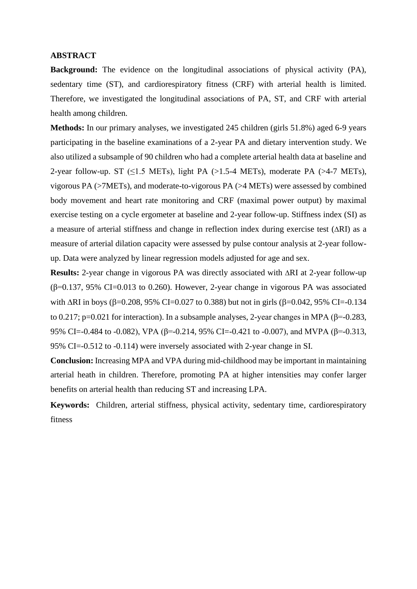### **ABSTRACT**

**Background:** The evidence on the longitudinal associations of physical activity (PA), sedentary time (ST), and cardiorespiratory fitness (CRF) with arterial health is limited. Therefore, we investigated the longitudinal associations of PA, ST, and CRF with arterial health among children.

**Methods:** In our primary analyses, we investigated 245 children (girls 51.8%) aged 6-9 years participating in the baseline examinations of a 2-year PA and dietary intervention study. We also utilized a subsample of 90 children who had a complete arterial health data at baseline and 2-year follow-up. ST ( $\leq$ 1.5 METs), light PA ( $>$ 1.5-4 METs), moderate PA ( $>$ 4-7 METs), vigorous PA (>7METs), and moderate-to-vigorous PA (>4 METs) were assessed by combined body movement and heart rate monitoring and CRF (maximal power output) by maximal exercise testing on a cycle ergometer at baseline and 2-year follow-up. Stiffness index (SI) as a measure of arterial stiffness and change in reflection index during exercise test  $(ARI)$  as a measure of arterial dilation capacity were assessed by pulse contour analysis at 2-year followup. Data were analyzed by linear regression models adjusted for age and sex.

**Results:** 2-year change in vigorous PA was directly associated with  $\Delta RI$  at 2-year follow-up (β=0.137, 95% CI=0.013 to 0.260). However, 2-year change in vigorous PA was associated with  $\Delta$ RI in boys ( $\beta$ =0.208, 95% CI=0.027 to 0.388) but not in girls ( $\beta$ =0.042, 95% CI=-0.134 to 0.217; p=0.021 for interaction). In a subsample analyses, 2-year changes in MPA (β=-0.283, 95% CI=-0.484 to -0.082), VPA ( $\beta$ =-0.214, 95% CI=-0.421 to -0.007), and MVPA ( $\beta$ =-0.313, 95% CI=-0.512 to -0.114) were inversely associated with 2-year change in SI.

**Conclusion:** Increasing MPA and VPA during mid-childhood may be important in maintaining arterial heath in children. Therefore, promoting PA at higher intensities may confer larger benefits on arterial health than reducing ST and increasing LPA.

**Keywords:** Children, arterial stiffness, physical activity, sedentary time, cardiorespiratory fitness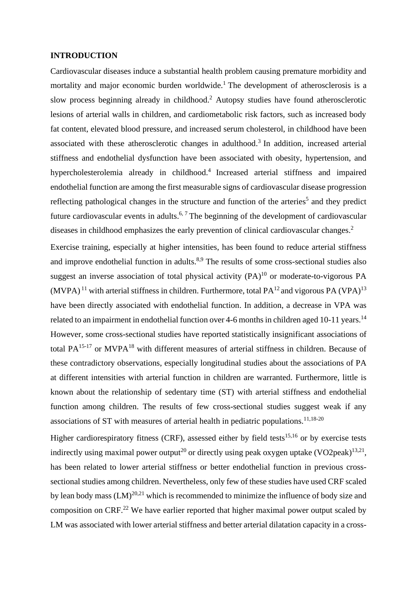### **INTRODUCTION**

Cardiovascular diseases induce a substantial health problem causing premature morbidity and mortality and major economic burden worldwide.<sup>1</sup> The development of atherosclerosis is a slow process beginning already in childhood. <sup>2</sup> Autopsy studies have found atherosclerotic lesions of arterial walls in children, and cardiometabolic risk factors, such as increased body fat content, elevated blood pressure, and increased serum cholesterol, in childhood have been associated with these atherosclerotic changes in adulthood.<sup>3</sup> In addition, increased arterial stiffness and endothelial dysfunction have been associated with obesity, hypertension, and hypercholesterolemia already in childhood. 4 Increased arterial stiffness and impaired endothelial function are among the first measurable signs of cardiovascular disease progression reflecting pathological changes in the structure and function of the arteries<sup>5</sup> and they predict future cardiovascular events in adults.<sup>6, 7</sup> The beginning of the development of cardiovascular diseases in childhood emphasizes the early prevention of clinical cardiovascular changes.<sup>2</sup>

Exercise training, especially at higher intensities, has been found to reduce arterial stiffness and improve endothelial function in adults.<sup>8,9</sup> The results of some cross-sectional studies also suggest an inverse association of total physical activity  $(PA)^{10}$  or moderate-to-vigorous PA  $(MVPA)^{11}$  with arterial stiffness in children. Furthermore, total PA<sup>12</sup> and vigorous PA (VPA)<sup>13</sup> have been directly associated with endothelial function. In addition, a decrease in VPA was related to an impairment in endothelial function over 4-6 months in children aged 10-11 years.<sup>14</sup> However, some cross-sectional studies have reported statistically insignificant associations of total  $PA^{15-17}$  or MVP $A^{18}$  with different measures of arterial stiffness in children. Because of these contradictory observations, especially longitudinal studies about the associations of PA at different intensities with arterial function in children are warranted. Furthermore, little is known about the relationship of sedentary time (ST) with arterial stiffness and endothelial function among children. The results of few cross-sectional studies suggest weak if any associations of ST with measures of arterial health in pediatric populations.<sup>11,18-20</sup>

Higher cardiorespiratory fitness (CRF), assessed either by field tests<sup>15,16</sup> or by exercise tests indirectly using maximal power output<sup>20</sup> or directly using peak oxygen uptake (VO2peak)<sup>13,21</sup>, has been related to lower arterial stiffness or better endothelial function in previous crosssectional studies among children. Nevertheless, only few of these studies have used CRF scaled by lean body mass  $(LM)^{20,21}$  which is recommended to minimize the influence of body size and composition on CRF.<sup>22</sup> We have earlier reported that higher maximal power output scaled by LM was associated with lower arterial stiffness and better arterial dilatation capacity in a cross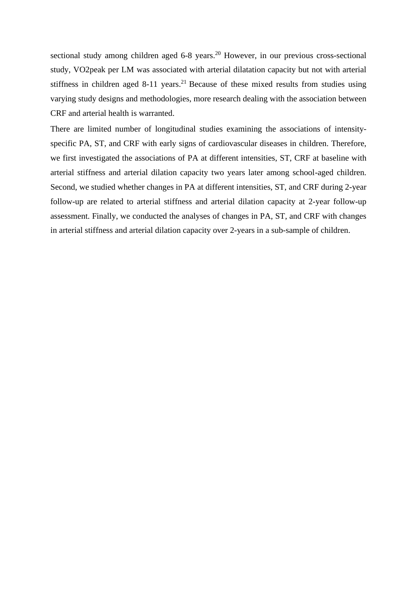sectional study among children aged 6-8 years.<sup>20</sup> However, in our previous cross-sectional study, VO2peak per LM was associated with arterial dilatation capacity but not with arterial stiffness in children aged  $8-11$  years.<sup>21</sup> Because of these mixed results from studies using varying study designs and methodologies, more research dealing with the association between CRF and arterial health is warranted.

There are limited number of longitudinal studies examining the associations of intensityspecific PA, ST, and CRF with early signs of cardiovascular diseases in children. Therefore, we first investigated the associations of PA at different intensities, ST, CRF at baseline with arterial stiffness and arterial dilation capacity two years later among school-aged children. Second, we studied whether changes in PA at different intensities, ST, and CRF during 2-year follow-up are related to arterial stiffness and arterial dilation capacity at 2-year follow-up assessment. Finally, we conducted the analyses of changes in PA, ST, and CRF with changes in arterial stiffness and arterial dilation capacity over 2-years in a sub-sample of children.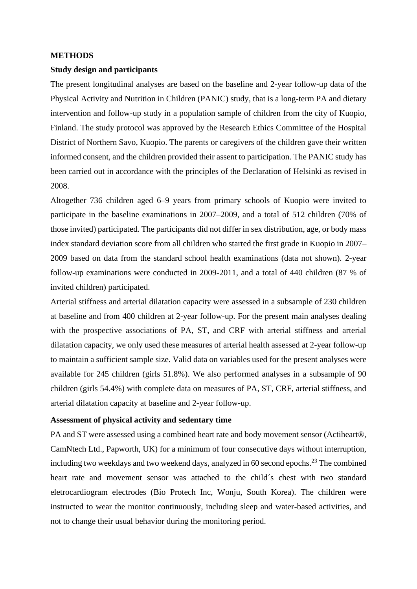### **METHODS**

### **Study design and participants**

The present longitudinal analyses are based on the baseline and 2-year follow-up data of the Physical Activity and Nutrition in Children (PANIC) study, that is a long-term PA and dietary intervention and follow-up study in a population sample of children from the city of Kuopio, Finland. The study protocol was approved by the Research Ethics Committee of the Hospital District of Northern Savo, Kuopio. The parents or caregivers of the children gave their written informed consent, and the children provided their assent to participation. The PANIC study has been carried out in accordance with the principles of the Declaration of Helsinki as revised in 2008.

Altogether 736 children aged 6–9 years from primary schools of Kuopio were invited to participate in the baseline examinations in 2007–2009, and a total of 512 children (70% of those invited) participated. The participants did not differ in sex distribution, age, or body mass index standard deviation score from all children who started the first grade in Kuopio in 2007– 2009 based on data from the standard school health examinations (data not shown). 2-year follow-up examinations were conducted in 2009-2011, and a total of 440 children (87 % of invited children) participated.

Arterial stiffness and arterial dilatation capacity were assessed in a subsample of 230 children at baseline and from 400 children at 2-year follow-up. For the present main analyses dealing with the prospective associations of PA, ST, and CRF with arterial stiffness and arterial dilatation capacity, we only used these measures of arterial health assessed at 2-year follow-up to maintain a sufficient sample size. Valid data on variables used for the present analyses were available for 245 children (girls 51.8%). We also performed analyses in a subsample of 90 children (girls 54.4%) with complete data on measures of PA, ST, CRF, arterial stiffness, and arterial dilatation capacity at baseline and 2-year follow-up.

## **Assessment of physical activity and sedentary time**

PA and ST were assessed using a combined heart rate and body movement sensor (Actiheart®, CamNtech Ltd., Papworth, UK) for a minimum of four consecutive days without interruption, including two weekdays and two weekend days, analyzed in 60 second epochs. <sup>23</sup> The combined heart rate and movement sensor was attached to the child´s chest with two standard eletrocardiogram electrodes (Bio Protech Inc, Wonju, South Korea). The children were instructed to wear the monitor continuously, including sleep and water-based activities, and not to change their usual behavior during the monitoring period.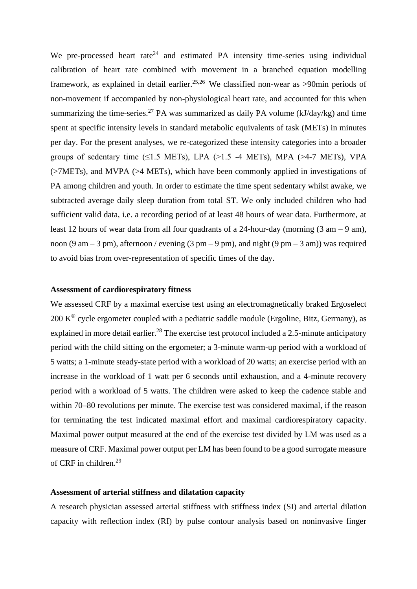We pre-processed heart rate<sup>24</sup> and estimated PA intensity time-series using individual calibration of heart rate combined with movement in a branched equation modelling framework, as explained in detail earlier.<sup>25,26</sup> We classified non-wear as >90min periods of non-movement if accompanied by non-physiological heart rate, and accounted for this when summarizing the time-series.<sup>27</sup> PA was summarized as daily PA volume ( $kJ/day/kg$ ) and time spent at specific intensity levels in standard metabolic equivalents of task (METs) in minutes per day. For the present analyses, we re-categorized these intensity categories into a broader groups of sedentary time ( $\leq$ 1.5 METs), LPA ( $>$ 1.5 -4 METs), MPA ( $>$ 4-7 METs), VPA (>7METs), and MVPA (>4 METs), which have been commonly applied in investigations of PA among children and youth. In order to estimate the time spent sedentary whilst awake, we subtracted average daily sleep duration from total ST. We only included children who had sufficient valid data, i.e. a recording period of at least 48 hours of wear data. Furthermore, at least 12 hours of wear data from all four quadrants of a 24-hour-day (morning  $(3 \text{ am} - 9 \text{ am})$ , noon (9 am – 3 pm), afternoon / evening (3 pm – 9 pm), and night (9 pm – 3 am)) was required to avoid bias from over-representation of specific times of the day.

#### **Assessment of cardiorespiratory fitness**

We assessed CRF by a maximal exercise test using an electromagnetically braked Ergoselect  $200 \text{ K}^{\circledR}$  cycle ergometer coupled with a pediatric saddle module (Ergoline, Bitz, Germany), as explained in more detail earlier.<sup>28</sup> The exercise test protocol included a 2.5-minute anticipatory period with the child sitting on the ergometer; a 3-minute warm-up period with a workload of 5 watts; a 1-minute steady-state period with a workload of 20 watts; an exercise period with an increase in the workload of 1 watt per 6 seconds until exhaustion, and a 4-minute recovery period with a workload of 5 watts. The children were asked to keep the cadence stable and within 70–80 revolutions per minute. The exercise test was considered maximal, if the reason for terminating the test indicated maximal effort and maximal cardiorespiratory capacity. Maximal power output measured at the end of the exercise test divided by LM was used as a measure of CRF. Maximal power output per LM has been found to be a good surrogate measure of CRF in children.<sup>29</sup>

#### **Assessment of arterial stiffness and dilatation capacity**

A research physician assessed arterial stiffness with stiffness index (SI) and arterial dilation capacity with reflection index (RI) by pulse contour analysis based on noninvasive finger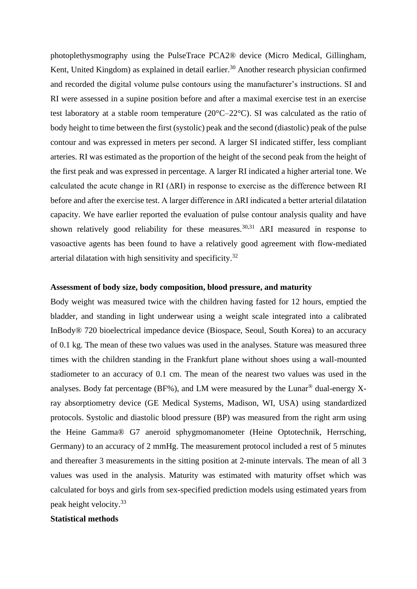photoplethysmography using the PulseTrace PCA2® device (Micro Medical, Gillingham, Kent, United Kingdom) as explained in detail earlier.<sup>30</sup> Another research physician confirmed and recorded the digital volume pulse contours using the manufacturer's instructions. SI and RI were assessed in a supine position before and after a maximal exercise test in an exercise test laboratory at a stable room temperature (20°C–22°C). SI was calculated as the ratio of body height to time between the first (systolic) peak and the second (diastolic) peak of the pulse contour and was expressed in meters per second. A larger SI indicated stiffer, less compliant arteries. RI was estimated as the proportion of the height of the second peak from the height of the first peak and was expressed in percentage. A larger RI indicated a higher arterial tone. We calculated the acute change in RI  $(ΔRI)$  in response to exercise as the difference between RI before and after the exercise test. A larger difference in ΔRI indicated a better arterial dilatation capacity. We have earlier reported the evaluation of pulse contour analysis quality and have shown relatively good reliability for these measures.<sup>30,31</sup>  $\Delta$ RI measured in response to vasoactive agents has been found to have a relatively good agreement with flow-mediated arterial dilatation with high sensitivity and specificity.<sup>32</sup>

## **Assessment of body size, body composition, blood pressure, and maturity**

Body weight was measured twice with the children having fasted for 12 hours, emptied the bladder, and standing in light underwear using a weight scale integrated into a calibrated InBody® 720 bioelectrical impedance device (Biospace, Seoul, South Korea) to an accuracy of 0.1 kg. The mean of these two values was used in the analyses. Stature was measured three times with the children standing in the Frankfurt plane without shoes using a wall-mounted stadiometer to an accuracy of 0.1 cm. The mean of the nearest two values was used in the analyses. Body fat percentage (BF%), and LM were measured by the Lunar<sup>®</sup> dual-energy Xray absorptiometry device (GE Medical Systems, Madison, WI, USA) using standardized protocols. Systolic and diastolic blood pressure (BP) was measured from the right arm using the Heine Gamma® G7 aneroid sphygmomanometer (Heine Optotechnik, Herrsching, Germany) to an accuracy of 2 mmHg. The measurement protocol included a rest of 5 minutes and thereafter 3 measurements in the sitting position at 2-minute intervals. The mean of all 3 values was used in the analysis. Maturity was estimated with maturity offset which was calculated for boys and girls from sex-specified prediction models using estimated years from peak height velocity.<sup>33</sup>

## **Statistical methods**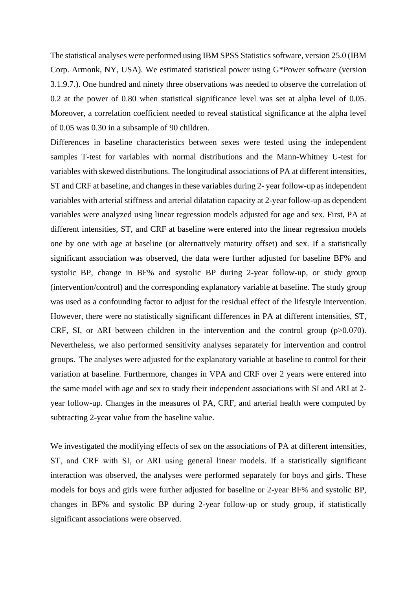The statistical analyses were performed using IBM SPSS Statistics software, version 25.0 (IBM Corp. Armonk, NY, USA). We estimated statistical power using G\*Power software (version 3.1.9.7.). One hundred and ninety three observations was needed to observe the correlation of 0.2 at the power of 0.80 when statistical significance level was set at alpha level of 0.05. Moreover, a correlation coefficient needed to reveal statistical significance at the alpha level of 0.05 was 0.30 in a subsample of 90 children.

Differences in baseline characteristics between sexes were tested using the independent samples T-test for variables with normal distributions and the Mann-Whitney U-test for variables with skewed distributions. The longitudinal associations of PA at different intensities, ST and CRF at baseline, and changes in these variables during 2- year follow-up as independent variables with arterial stiffness and arterial dilatation capacity at 2-year follow-up as dependent variables were analyzed using linear regression models adjusted for age and sex. First, PA at different intensities, ST, and CRF at baseline were entered into the linear regression models one by one with age at baseline (or alternatively maturity offset) and sex. If a statistically significant association was observed, the data were further adjusted for baseline BF% and systolic BP, change in BF% and systolic BP during 2-year follow-up, or study group (intervention/control) and the corresponding explanatory variable at baseline. The study group was used as a confounding factor to adjust for the residual effect of the lifestyle intervention. However, there were no statistically significant differences in PA at different intensities, ST, CRF, SI, or  $\Delta$ RI between children in the intervention and the control group (p $>0.070$ ). Nevertheless, we also performed sensitivity analyses separately for intervention and control groups. The analyses were adjusted for the explanatory variable at baseline to control for their variation at baseline. Furthermore, changes in VPA and CRF over 2 years were entered into the same model with age and sex to study their independent associations with SI and ΔRI at 2 year follow-up. Changes in the measures of PA, CRF, and arterial health were computed by subtracting 2-year value from the baseline value.

We investigated the modifying effects of sex on the associations of PA at different intensities, ST, and CRF with SI, or ΔRI using general linear models. If a statistically significant interaction was observed, the analyses were performed separately for boys and girls. These models for boys and girls were further adjusted for baseline or 2-year BF% and systolic BP, changes in BF% and systolic BP during 2-year follow-up or study group, if statistically significant associations were observed.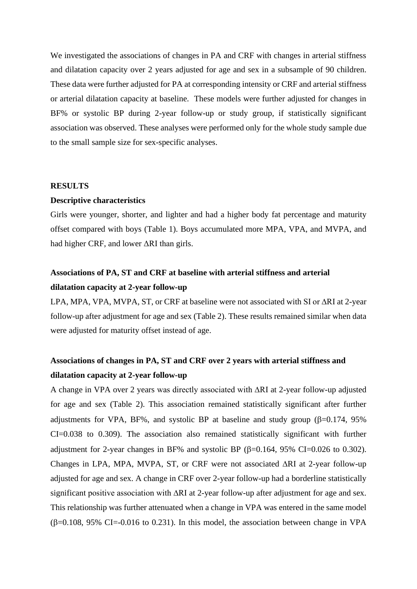We investigated the associations of changes in PA and CRF with changes in arterial stiffness and dilatation capacity over 2 years adjusted for age and sex in a subsample of 90 children. These data were further adjusted for PA at corresponding intensity or CRF and arterial stiffness or arterial dilatation capacity at baseline. These models were further adjusted for changes in BF% or systolic BP during 2-year follow-up or study group, if statistically significant association was observed. These analyses were performed only for the whole study sample due to the small sample size for sex-specific analyses.

## **RESULTS**

### **Descriptive characteristics**

Girls were younger, shorter, and lighter and had a higher body fat percentage and maturity offset compared with boys (Table 1). Boys accumulated more MPA, VPA, and MVPA, and had higher CRF, and lower ΔRI than girls.

## **Associations of PA, ST and CRF at baseline with arterial stiffness and arterial dilatation capacity at 2-year follow-up**

LPA, MPA, VPA, MVPA, ST, or CRF at baseline were not associated with SI or ∆RI at 2-year follow-up after adjustment for age and sex (Table 2). These results remained similar when data were adjusted for maturity offset instead of age.

## **Associations of changes in PA, ST and CRF over 2 years with arterial stiffness and dilatation capacity at 2-year follow-up**

A change in VPA over 2 years was directly associated with ∆RI at 2-year follow-up adjusted for age and sex (Table 2). This association remained statistically significant after further adjustments for VPA, BF%, and systolic BP at baseline and study group  $(\beta=0.174, 95\%)$ CI=0.038 to 0.309). The association also remained statistically significant with further adjustment for 2-year changes in BF% and systolic BP  $(\beta=0.164, 95\% \text{ CI}=0.026 \text{ to } 0.302)$ . Changes in LPA, MPA, MVPA, ST, or CRF were not associated ∆RI at 2-year follow-up adjusted for age and sex. A change in CRF over 2-year follow-up had a borderline statistically significant positive association with ∆RI at 2-year follow-up after adjustment for age and sex. This relationship was further attenuated when a change in VPA was entered in the same model  $(\beta=0.108, 95\% \text{ CI}=-0.016 \text{ to } 0.231)$ . In this model, the association between change in VPA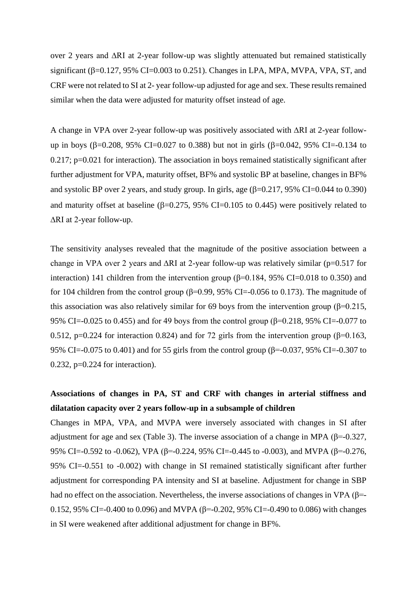over 2 years and ∆RI at 2-year follow-up was slightly attenuated but remained statistically significant ( $\beta$ =0.127, 95% CI=0.003 to 0.251). Changes in LPA, MPA, MVPA, VPA, ST, and CRF were not related to SI at 2- year follow-up adjusted for age and sex. These results remained similar when the data were adjusted for maturity offset instead of age.

A change in VPA over 2-year follow-up was positively associated with ∆RI at 2-year followup in boys ( $\beta$ =0.208, 95% CI=0.027 to 0.388) but not in girls ( $\beta$ =0.042, 95% CI=-0.134 to 0.217; p=0.021 for interaction). The association in boys remained statistically significant after further adjustment for VPA, maturity offset, BF% and systolic BP at baseline, changes in BF% and systolic BP over 2 years, and study group. In girls, age  $(\beta=0.217, 95\% \text{ CI} = 0.044 \text{ to } 0.390)$ and maturity offset at baseline  $(\beta=0.275, 95\% \text{ CI}=0.105 \text{ to } 0.445)$  were positively related to ∆RI at 2-year follow-up.

The sensitivity analyses revealed that the magnitude of the positive association between a change in VPA over 2 years and ∆RI at 2-year follow-up was relatively similar (p=0.517 for interaction) 141 children from the intervention group ( $\beta$ =0.184, 95% CI=0.018 to 0.350) and for 104 children from the control group (β=0.99, 95% CI=-0.056 to 0.173). The magnitude of this association was also relatively similar for 69 boys from the intervention group (β=0.215, 95% CI=-0.025 to 0.455) and for 49 boys from the control group (β=0.218, 95% CI=-0.077 to 0.512, p=0.224 for interaction 0.824) and for 72 girls from the intervention group (β=0.163, 95% CI=-0.075 to 0.401) and for 55 girls from the control group (β=-0.037, 95% CI=-0.307 to 0.232, p=0.224 for interaction).

## **Associations of changes in PA, ST and CRF with changes in arterial stiffness and dilatation capacity over 2 years follow-up in a subsample of children**

Changes in MPA, VPA, and MVPA were inversely associated with changes in SI after adjustment for age and sex (Table 3). The inverse association of a change in MPA ( $\beta$ =-0.327, 95% CI=-0.592 to -0.062), VPA (β=-0.224, 95% CI=-0.445 to -0.003), and MVPA (β=-0.276, 95% CI=-0.551 to -0.002) with change in SI remained statistically significant after further adjustment for corresponding PA intensity and SI at baseline. Adjustment for change in SBP had no effect on the association. Nevertheless, the inverse associations of changes in VPA ( $\beta$ =-0.152, 95% CI=-0.400 to 0.096) and MVPA (β=-0.202, 95% CI=-0.490 to 0.086) with changes in SI were weakened after additional adjustment for change in BF%.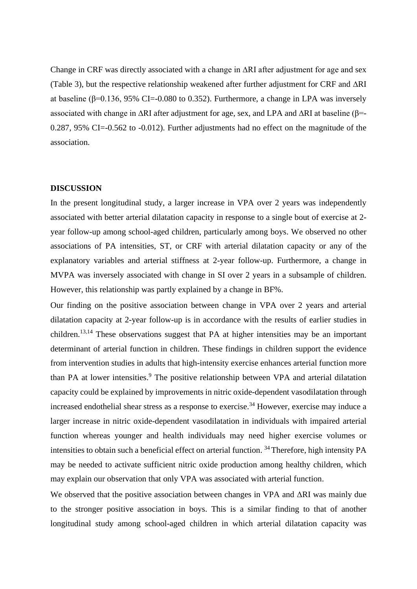Change in CRF was directly associated with a change in ∆RI after adjustment for age and sex (Table 3), but the respective relationship weakened after further adjustment for CRF and ∆RI at baseline ( $β=0.136$ , 95% CI=-0.080 to 0.352). Furthermore, a change in LPA was inversely associated with change in ∆RI after adjustment for age, sex, and LPA and ∆RI at baseline (β=- 0.287, 95% CI=-0.562 to -0.012). Further adjustments had no effect on the magnitude of the association.

## **DISCUSSION**

In the present longitudinal study, a larger increase in VPA over 2 years was independently associated with better arterial dilatation capacity in response to a single bout of exercise at 2 year follow-up among school-aged children, particularly among boys. We observed no other associations of PA intensities, ST, or CRF with arterial dilatation capacity or any of the explanatory variables and arterial stiffness at 2-year follow-up. Furthermore, a change in MVPA was inversely associated with change in SI over 2 years in a subsample of children. However, this relationship was partly explained by a change in BF%.

Our finding on the positive association between change in VPA over 2 years and arterial dilatation capacity at 2-year follow-up is in accordance with the results of earlier studies in children.13,14 These observations suggest that PA at higher intensities may be an important determinant of arterial function in children. These findings in children support the evidence from intervention studies in adults that high-intensity exercise enhances arterial function more than PA at lower intensities. <sup>9</sup> The positive relationship between VPA and arterial dilatation capacity could be explained by improvements in nitric oxide-dependent vasodilatation through increased endothelial shear stress as a response to exercise.<sup>34</sup> However, exercise may induce a larger increase in nitric oxide-dependent vasodilatation in individuals with impaired arterial function whereas younger and health individuals may need higher exercise volumes or intensities to obtain such a beneficial effect on arterial function. <sup>34</sup> Therefore, high intensity PA may be needed to activate sufficient nitric oxide production among healthy children, which may explain our observation that only VPA was associated with arterial function.

We observed that the positive association between changes in VPA and ΔRI was mainly due to the stronger positive association in boys. This is a similar finding to that of another longitudinal study among school-aged children in which arterial dilatation capacity was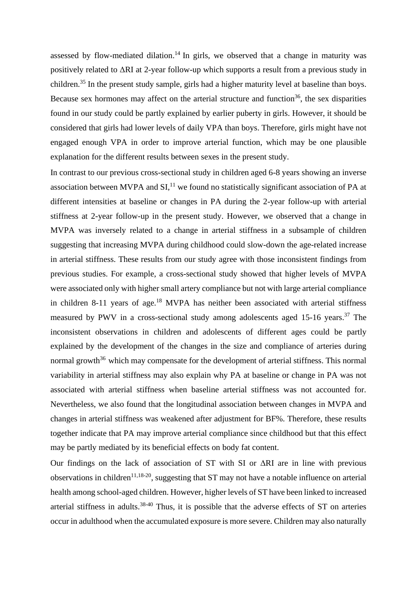assessed by flow-mediated dilation.<sup>14</sup> In girls, we observed that a change in maturity was positively related to ΔRI at 2-year follow-up which supports a result from a previous study in children.<sup>35</sup> In the present study sample, girls had a higher maturity level at baseline than boys. Because sex hormones may affect on the arterial structure and function<sup>36</sup>, the sex disparities found in our study could be partly explained by earlier puberty in girls. However, it should be considered that girls had lower levels of daily VPA than boys. Therefore, girls might have not engaged enough VPA in order to improve arterial function, which may be one plausible explanation for the different results between sexes in the present study.

In contrast to our previous cross-sectional study in children aged 6-8 years showing an inverse association between MVPA and  $SI$ ,<sup>11</sup>, we found no statistically significant association of PA at different intensities at baseline or changes in PA during the 2-year follow-up with arterial stiffness at 2-year follow-up in the present study. However, we observed that a change in MVPA was inversely related to a change in arterial stiffness in a subsample of children suggesting that increasing MVPA during childhood could slow-down the age-related increase in arterial stiffness. These results from our study agree with those inconsistent findings from previous studies. For example, a cross-sectional study showed that higher levels of MVPA were associated only with higher small artery compliance but not with large arterial compliance in children 8-11 years of age.<sup>18</sup> MVPA has neither been associated with arterial stiffness measured by PWV in a cross-sectional study among adolescents aged 15-16 years.<sup>37</sup> The inconsistent observations in children and adolescents of different ages could be partly explained by the development of the changes in the size and compliance of arteries during normal growth<sup>36</sup> which may compensate for the development of arterial stiffness. This normal variability in arterial stiffness may also explain why PA at baseline or change in PA was not associated with arterial stiffness when baseline arterial stiffness was not accounted for. Nevertheless, we also found that the longitudinal association between changes in MVPA and changes in arterial stiffness was weakened after adjustment for BF%. Therefore, these results together indicate that PA may improve arterial compliance since childhood but that this effect may be partly mediated by its beneficial effects on body fat content.

Our findings on the lack of association of ST with SI or ΔRI are in line with previous observations in children<sup>11,18-20</sup>, suggesting that ST may not have a notable influence on arterial health among school-aged children. However, higher levels of ST have been linked to increased arterial stiffness in adults.38-40 Thus, it is possible that the adverse effects of ST on arteries occur in adulthood when the accumulated exposure is more severe. Children may also naturally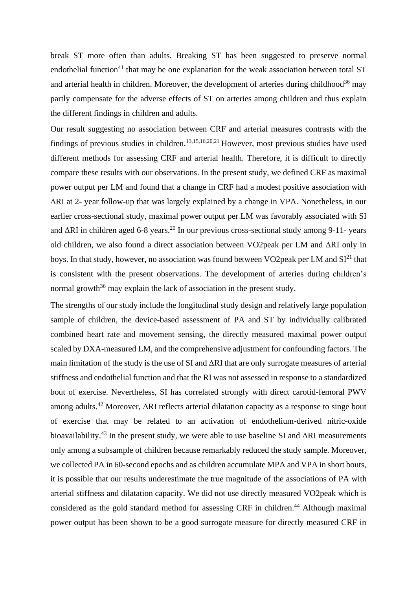break ST more often than adults. Breaking ST has been suggested to preserve normal endothelial function<sup>41</sup> that may be one explanation for the weak association between total ST and arterial health in children. Moreover, the development of arteries during childhood<sup>36</sup> may partly compensate for the adverse effects of ST on arteries among children and thus explain the different findings in children and adults.

Our result suggesting no association between CRF and arterial measures contrasts with the findings of previous studies in children.<sup>13,15,16,20,21</sup> However, most previous studies have used different methods for assessing CRF and arterial health. Therefore, it is difficult to directly compare these results with our observations. In the present study, we defined CRF as maximal power output per LM and found that a change in CRF had a modest positive association with ΔRI at 2- year follow-up that was largely explained by a change in VPA. Nonetheless, in our earlier cross-sectional study, maximal power output per LM was favorably associated with SI and  $\Delta$ RI in children aged 6-8 years.<sup>20</sup> In our previous cross-sectional study among 9-11- years old children, we also found a direct association between VO2peak per LM and ΔRI only in boys. In that study, however, no association was found between VO2peak per LM and SI<sup>21</sup> that is consistent with the present observations. The development of arteries during children's normal growth<sup>36</sup> may explain the lack of association in the present study.

The strengths of our study include the longitudinal study design and relatively large population sample of children, the device-based assessment of PA and ST by individually calibrated combined heart rate and movement sensing, the directly measured maximal power output scaled by DXA-measured LM, and the comprehensive adjustment for confounding factors. The main limitation of the study is the use of SI and  $\Delta$ RI that are only surrogate measures of arterial stiffness and endothelial function and that the RI was not assessed in response to a standardized bout of exercise. Nevertheless, SI has correlated strongly with direct carotid-femoral PWV among adults. <sup>42</sup> Moreover, ΔRI reflects arterial dilatation capacity as a response to singe bout of exercise that may be related to an activation of endothelium-derived nitric-oxide bioavailability.<sup>43</sup> In the present study, we were able to use baseline SI and  $\Delta$ RI measurements only among a subsample of children because remarkably reduced the study sample. Moreover, we collected PA in 60-second epochs and as children accumulate MPA and VPA in short bouts, it is possible that our results underestimate the true magnitude of the associations of PA with arterial stiffness and dilatation capacity. We did not use directly measured VO2peak which is considered as the gold standard method for assessing CRF in children.<sup>44</sup> Although maximal power output has been shown to be a good surrogate measure for directly measured CRF in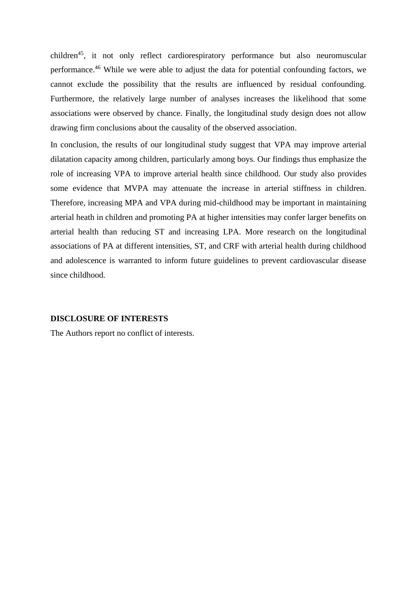children<sup>45</sup>, it not only reflect cardiorespiratory performance but also neuromuscular performance.<sup>46</sup> While we were able to adjust the data for potential confounding factors, we cannot exclude the possibility that the results are influenced by residual confounding. Furthermore, the relatively large number of analyses increases the likelihood that some associations were observed by chance. Finally, the longitudinal study design does not allow drawing firm conclusions about the causality of the observed association.

In conclusion, the results of our longitudinal study suggest that VPA may improve arterial dilatation capacity among children, particularly among boys. Our findings thus emphasize the role of increasing VPA to improve arterial health since childhood. Our study also provides some evidence that MVPA may attenuate the increase in arterial stiffness in children. Therefore, increasing MPA and VPA during mid-childhood may be important in maintaining arterial heath in children and promoting PA at higher intensities may confer larger benefits on arterial health than reducing ST and increasing LPA. More research on the longitudinal associations of PA at different intensities, ST, and CRF with arterial health during childhood and adolescence is warranted to inform future guidelines to prevent cardiovascular disease since childhood.

## **DISCLOSURE OF INTERESTS**

The Authors report no conflict of interests.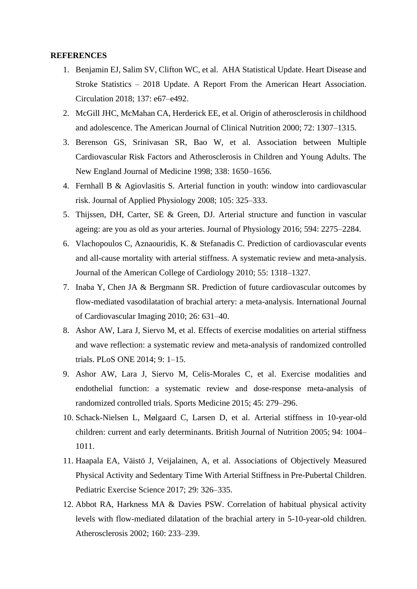### **REFERENCES**

- 1. Benjamin EJ, Salim SV, Clifton WC, et al. AHA Statistical Update. Heart Disease and Stroke Statistics – 2018 Update. A Report From the American Heart Association. Circulation 2018; 137: e67–e492.
- 2. McGill JHC, McMahan CA, Herderick EE, et al. Origin of atherosclerosis in childhood and adolescence. The American Journal of Clinical Nutrition 2000; 72: 1307–1315.
- 3. Berenson GS, Srinivasan SR, Bao W, et al. Association between Multiple Cardiovascular Risk Factors and Atherosclerosis in Children and Young Adults. The New England Journal of Medicine 1998; 338: 1650–1656.
- 4. Fernhall B & Agiovlasitis S. Arterial function in youth: window into cardiovascular risk. Journal of Applied Physiology 2008; 105: 325–333.
- 5. Thijssen, DH, Carter, SE & Green, DJ. Arterial structure and function in vascular ageing: are you as old as your arteries. Journal of Physiology 2016; 594: 2275–2284.
- 6. Vlachopoulos C, Aznaouridis, K. & Stefanadis C. Prediction of cardiovascular events and all-cause mortality with arterial stiffness. A systematic review and meta-analysis. Journal of the American College of Cardiology 2010; 55: 1318–1327.
- 7. Inaba Y, Chen JA & Bergmann SR. Prediction of future cardiovascular outcomes by flow-mediated vasodilatation of brachial artery: a meta-analysis. International Journal of Cardiovascular Imaging 2010; 26: 631–40.
- 8. Ashor AW, Lara J, Siervo M, et al. Effects of exercise modalities on arterial stiffness and wave reflection: a systematic review and meta-analysis of randomized controlled trials. PLoS ONE 2014; 9: 1–15.
- 9. Ashor AW, Lara J, Siervo M, Celis-Morales C, et al. Exercise modalities and endothelial function: a systematic review and dose-response meta-analysis of randomized controlled trials. Sports Medicine 2015; 45: 279–296.
- 10. Schack-Nielsen L, Mølgaard C, Larsen D, et al. Arterial stiffness in 10-year-old children: current and early determinants. British Journal of Nutrition 2005; 94: 1004– 1011.
- 11. Haapala EA, Väistö J, Veijalainen, A, et al. Associations of Objectively Measured Physical Activity and Sedentary Time With Arterial Stiffness in Pre-Pubertal Children. Pediatric Exercise Science 2017; 29: 326–335.
- 12. Abbot RA, Harkness MA & Davies PSW. Correlation of habitual physical activity levels with flow-mediated dilatation of the brachial artery in 5-10-year-old children. Atherosclerosis 2002; 160: 233–239.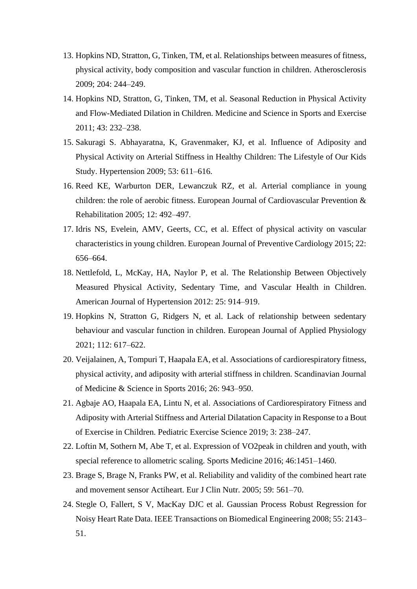- 13. Hopkins ND, Stratton, G, Tinken, TM, et al. Relationships between measures of fitness, physical activity, body composition and vascular function in children. Atherosclerosis 2009; 204: 244–249.
- 14. Hopkins ND, Stratton, G, Tinken, TM, et al. Seasonal Reduction in Physical Activity and Flow-Mediated Dilation in Children. Medicine and Science in Sports and Exercise 2011; 43: 232–238.
- 15. Sakuragi S. Abhayaratna, K, Gravenmaker, KJ, et al. Influence of Adiposity and Physical Activity on Arterial Stiffness in Healthy Children: The Lifestyle of Our Kids Study. Hypertension 2009; 53: 611–616.
- 16. Reed KE, Warburton DER, Lewanczuk RZ, et al. Arterial compliance in young children: the role of aerobic fitness. European Journal of Cardiovascular Prevention & Rehabilitation 2005; 12: 492–497.
- 17. Idris NS, Evelein, AMV, Geerts, CC, et al. Effect of physical activity on vascular characteristics in young children. European Journal of Preventive Cardiology 2015; 22: 656–664.
- 18. Nettlefold, L, McKay, HA, Naylor P, et al. The Relationship Between Objectively Measured Physical Activity, Sedentary Time, and Vascular Health in Children. American Journal of Hypertension 2012: 25: 914–919.
- 19. Hopkins N, Stratton G, Ridgers N, et al. Lack of relationship between sedentary behaviour and vascular function in children. European Journal of Applied Physiology 2021; 112: 617–622.
- 20. Veijalainen, A, Tompuri T, Haapala EA, et al. Associations of cardiorespiratory fitness, physical activity, and adiposity with arterial stiffness in children. Scandinavian Journal of Medicine & Science in Sports 2016; 26: 943–950.
- 21. Agbaje AO, Haapala EA, Lintu N, et al. Associations of Cardiorespiratory Fitness and Adiposity with Arterial Stiffness and Arterial Dilatation Capacity in Response to a Bout of Exercise in Children. Pediatric Exercise Science 2019; 3: 238–247.
- 22. Loftin M, Sothern M, Abe T, et al. Expression of VO2peak in children and youth, with special reference to allometric scaling. Sports Medicine 2016; 46:1451–1460.
- 23. Brage S, Brage N, Franks PW, et al. Reliability and validity of the combined heart rate and movement sensor Actiheart. Eur J Clin Nutr. 2005; 59: 561–70.
- 24. Stegle O, Fallert, S V, MacKay DJC et al. Gaussian Process Robust Regression for Noisy Heart Rate Data. IEEE Transactions on Biomedical Engineering 2008; 55: 2143– 51.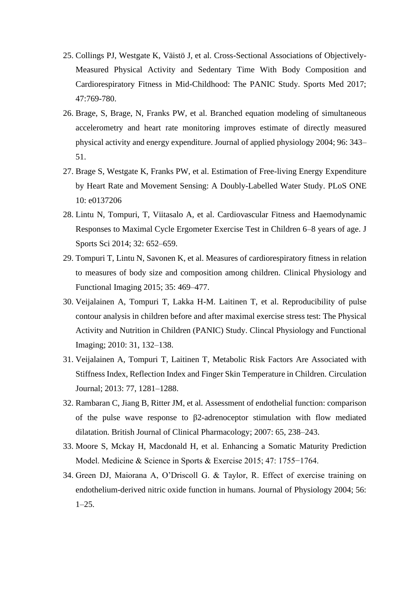- 25. Collings PJ, Westgate K, Väistö J, et al. Cross-Sectional Associations of Objectively-Measured Physical Activity and Sedentary Time With Body Composition and Cardiorespiratory Fitness in Mid-Childhood: The PANIC Study. Sports Med 2017; 47:769-780.
- 26. Brage, S, Brage, N, Franks PW, et al. Branched equation modeling of simultaneous accelerometry and heart rate monitoring improves estimate of directly measured physical activity and energy expenditure. Journal of applied physiology 2004; 96: 343– 51.
- 27. Brage S, Westgate K, Franks PW, et al. Estimation of Free-living Energy Expenditure by Heart Rate and Movement Sensing: A Doubly-Labelled Water Study. PLoS ONE 10: e0137206
- 28. Lintu N, Tompuri, T, Viitasalo A, et al. Cardiovascular Fitness and Haemodynamic Responses to Maximal Cycle Ergometer Exercise Test in Children 6–8 years of age. J Sports Sci 2014; 32: 652–659.
- 29. Tompuri T, Lintu N, Savonen K, et al. Measures of cardiorespiratory fitness in relation to measures of body size and composition among children. Clinical Physiology and Functional Imaging 2015; 35: 469–477.
- 30. Veijalainen A, Tompuri T, Lakka H-M. Laitinen T, et al. Reproducibility of pulse contour analysis in children before and after maximal exercise stress test: The Physical Activity and Nutrition in Children (PANIC) Study. Clincal Physiology and Functional Imaging; 2010: 31, 132–138.
- 31. Veijalainen A, Tompuri T, Laitinen T, Metabolic Risk Factors Are Associated with Stiffness Index, Reflection Index and Finger Skin Temperature in Children. Circulation Journal; 2013: 77, 1281–1288.
- 32. Rambaran C, Jiang B, Ritter JM, et al. Assessment of endothelial function: comparison of the pulse wave response to β2-adrenoceptor stimulation with flow mediated dilatation. British Journal of Clinical Pharmacology; 2007: 65, 238–243.
- 33. Moore S, Mckay H, Macdonald H, et al. Enhancing a Somatic Maturity Prediction Model. Medicine & Science in Sports & Exercise 2015; 47: 1755−1764.
- 34. Green DJ, Maiorana A, O'Driscoll G. & Taylor, R. Effect of exercise training on endothelium-derived nitric oxide function in humans. Journal of Physiology 2004; 56:  $1-25.$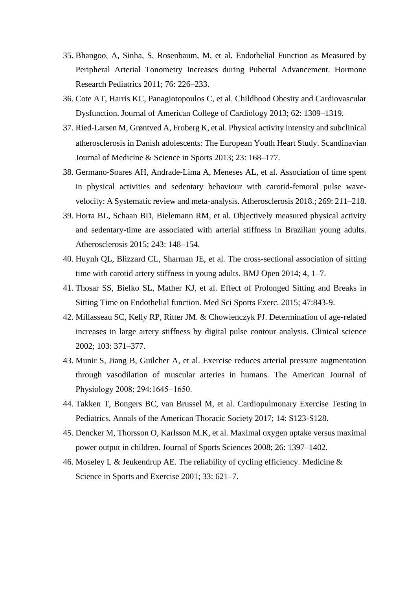- 35. Bhangoo, A, Sinha, S, Rosenbaum, M, et al. Endothelial Function as Measured by Peripheral Arterial Tonometry Increases during Pubertal Advancement. Hormone Research Pediatrics 2011; 76: 226–233.
- 36. Cote AT, Harris KC, Panagiotopoulos C, et al. Childhood Obesity and Cardiovascular Dysfunction. Journal of American College of Cardiology 2013; 62: 1309–1319.
- 37. Ried‐Larsen M, Grøntved A, Froberg K, et al. Physical activity intensity and subclinical atherosclerosis in Danish adolescents: The European Youth Heart Study. Scandinavian Journal of Medicine & Science in Sports 2013; 23: 168–177.
- 38. Germano-Soares AH, Andrade-Lima A, Meneses AL, et al. Association of time spent in physical activities and sedentary behaviour with carotid-femoral pulse wavevelocity: A Systematic review and meta-analysis. Atherosclerosis 2018.; 269: 211–218.
- 39. Horta BL, Schaan BD, Bielemann RM, et al. Objectively measured physical activity and sedentary-time are associated with arterial stiffness in Brazilian young adults. Atherosclerosis 2015; 243: 148–154.
- 40. Huynh QL, Blizzard CL, Sharman JE, et al. The cross-sectional association of sitting time with carotid artery stiffness in young adults. BMJ Open 2014; 4, 1–7.
- 41. Thosar SS, Bielko SL, Mather KJ, et al. Effect of Prolonged Sitting and Breaks in Sitting Time on Endothelial function. Med Sci Sports Exerc. 2015; 47:843-9.
- 42. Millasseau SC, Kelly RP, Ritter JM. & Chowienczyk PJ. Determination of age-related increases in large artery stiffness by digital pulse contour analysis. Clinical science 2002; 103: 371–377.
- 43. Munir S, Jiang B, Guilcher A, et al. Exercise reduces arterial pressure augmentation through vasodilation of muscular arteries in humans. The American Journal of Physiology 2008; 294:1645−1650.
- 44. Takken T, Bongers BC, van Brussel M, et al. Cardiopulmonary Exercise Testing in Pediatrics. Annals of the American Thoracic Society 2017; 14: S123-S128.
- 45. Dencker M, Thorsson O, Karlsson M.K, et al. Maximal oxygen uptake versus maximal power output in children. Journal of Sports Sciences 2008; 26: 1397–1402.
- 46. Moseley L & Jeukendrup AE. The reliability of cycling efficiency. Medicine & Science in Sports and Exercise 2001; 33: 621–7.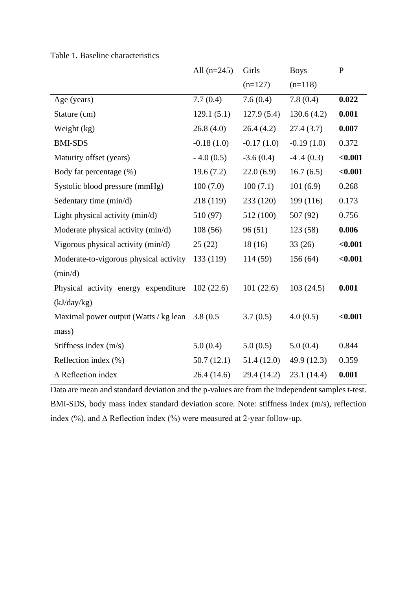|                                                 | All $(n=245)$ | Girls        | <b>Boys</b>  | $\mathbf{P}$ |
|-------------------------------------------------|---------------|--------------|--------------|--------------|
|                                                 |               | $(n=127)$    | $(n=118)$    |              |
| Age (years)                                     | 7.7(0.4)      | 7.6(0.4)     | 7.8(0.4)     | 0.022        |
| Stature (cm)                                    | 129.1(5.1)    | 127.9(5.4)   | 130.6(4.2)   | 0.001        |
| Weight (kg)                                     | 26.8(4.0)     | 26.4(4.2)    | 27.4(3.7)    | 0.007        |
| <b>BMI-SDS</b>                                  | $-0.18(1.0)$  | $-0.17(1.0)$ | $-0.19(1.0)$ | 0.372        |
| Maturity offset (years)                         | $-4.0(0.5)$   | $-3.6(0.4)$  | $-4.4(0.3)$  | $0.001$      |
| Body fat percentage (%)                         | 19.6(7.2)     | 22.0(6.9)    | 16.7(6.5)    | $0.001$      |
| Systolic blood pressure (mmHg)                  | 100(7.0)      | 100(7.1)     | 101(6.9)     | 0.268        |
| Sedentary time (min/d)                          | 218 (119)     | 233 (120)    | 199 (116)    | 0.173        |
| Light physical activity (min/d)                 | 510 (97)      | 512 (100)    | 507 (92)     | 0.756        |
| Moderate physical activity (min/d)              | 108(56)       | 96(51)       | 123(58)      | 0.006        |
| Vigorous physical activity (min/d)              | 25(22)        | 18(16)       | 33(26)       | $0.001$      |
| Moderate-to-vigorous physical activity          | 133 (119)     | 114 (59)     | 156 (64)     | < 0.001      |
| (min/d)                                         |               |              |              |              |
| Physical activity energy expenditure            | 102(22.6)     | 101(22.6)    | 103(24.5)    | 0.001        |
| (kJ/day/kg)                                     |               |              |              |              |
| Maximal power output (Watts / kg lean 3.8 (0.5) |               | 3.7(0.5)     | 4.0(0.5)     | $0.001$      |
| mass)                                           |               |              |              |              |
| Stiffness index $(m/s)$                         | 5.0(0.4)      | 5.0(0.5)     | 5.0(0.4)     | 0.844        |
| Reflection index (%)                            | 50.7(12.1)    | 51.4(12.0)   | 49.9 (12.3)  | 0.359        |
| $\triangle$ Reflection index                    | 26.4(14.6)    | 29.4 (14.2)  | 23.1 (14.4)  | 0.001        |

Table 1*.* Baseline characteristics

Data are mean and standard deviation and the p-values are from the independent samples t-test. BMI-SDS, body mass index standard deviation score. Note: stiffness index (m/s), reflection index (%), and  $\Delta$  Reflection index (%) were measured at 2-year follow-up.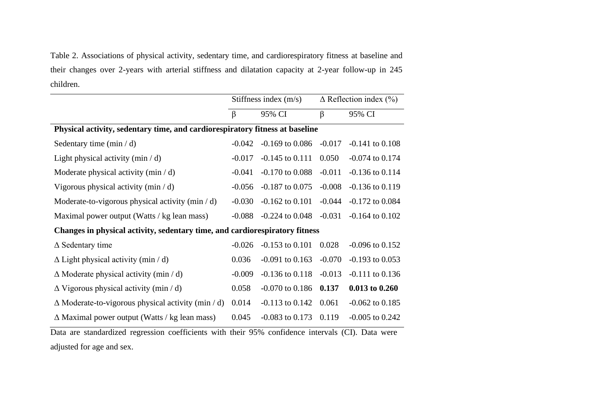Table 2. Associations of physical activity, sedentary time, and cardiorespiratory fitness at baseline and their changes over 2-years with arterial stiffness and dilatation capacity at 2-year follow-up in 245 children.

|                                                                                                                                                                                                                                                                                                                                                          | Stiffness index $(m/s)$                                                   |                                                | $\Delta$ Reflection index (%) |                                            |  |
|----------------------------------------------------------------------------------------------------------------------------------------------------------------------------------------------------------------------------------------------------------------------------------------------------------------------------------------------------------|---------------------------------------------------------------------------|------------------------------------------------|-------------------------------|--------------------------------------------|--|
|                                                                                                                                                                                                                                                                                                                                                          | $\beta$                                                                   | 95% CI                                         | $\beta$                       | 95% CI                                     |  |
| Physical activity, sedentary time, and cardiorespiratory fitness at baseline                                                                                                                                                                                                                                                                             |                                                                           |                                                |                               |                                            |  |
| Sedentary time $(min / d)$                                                                                                                                                                                                                                                                                                                               | $-0.042$                                                                  | $-0.169$ to $0.086$                            | $-0.017$                      | $-0.141$ to $0.108$                        |  |
| Light physical activity ( $min / d$ )                                                                                                                                                                                                                                                                                                                    | $-0.017$                                                                  | $-0.145$ to $0.111$                            | 0.050                         | $-0.074$ to $0.174$                        |  |
| Moderate physical activity $(min / d)$                                                                                                                                                                                                                                                                                                                   | $-0.041$                                                                  | $-0.170$ to $0.088$                            | $-0.011$                      | $-0.136$ to $0.114$                        |  |
| Vigorous physical activity $(\min / d)$                                                                                                                                                                                                                                                                                                                  | $-0.056$                                                                  | $-0.187$ to $0.075$                            | $-0.008$                      | $-0.136$ to $0.119$                        |  |
| Moderate-to-vigorous physical activity $(\min / d)$                                                                                                                                                                                                                                                                                                      | $-0.030$                                                                  | $-0.162$ to $0.101$                            | $-0.044$                      | $-0.172$ to $0.084$                        |  |
| Maximal power output (Watts / kg lean mass)                                                                                                                                                                                                                                                                                                              | $-0.088$                                                                  | $-0.224$ to $0.048$                            | $-0.031$                      | $-0.164$ to $0.102$                        |  |
| Changes in physical activity, sedentary time, and cardiorespiratory fitness                                                                                                                                                                                                                                                                              |                                                                           |                                                |                               |                                            |  |
| $\Delta$ Sedentary time                                                                                                                                                                                                                                                                                                                                  | $-0.026$                                                                  | $-0.153$ to $0.101$                            | 0.028                         | $-0.096$ to $0.152$                        |  |
| $\Delta$ Light physical activity (min / d)                                                                                                                                                                                                                                                                                                               | 0.036                                                                     | $-0.091$ to $0.163$                            | $-0.070$                      | $-0.193$ to $0.053$                        |  |
| $\Delta$ Moderate physical activity (min / d)                                                                                                                                                                                                                                                                                                            | $-0.009$                                                                  | $-0.136$ to $0.118$                            | $-0.013$                      | $-0.111$ to $0.136$                        |  |
| $\Delta$ Vigorous physical activity (min / d)                                                                                                                                                                                                                                                                                                            | 0.058                                                                     | $-0.070$ to $0.186$                            | 0.137                         | 0.013 to 0.260                             |  |
| $\Delta$ Moderate-to-vigorous physical activity (min / d)                                                                                                                                                                                                                                                                                                | 0.014                                                                     | $-0.113$ to $0.142$                            | 0.061                         | $-0.062$ to $0.185$                        |  |
| $\Delta$ Maximal power output (Watts / kg lean mass)<br>$\mathbf{D}$ and $\mathbf{I}$ and $\mathbf{I}$ and $\mathbf{I}$ and $\mathbf{I}$ and $\mathbf{I}$ and $\mathbf{I}$ and $\mathbf{I}$ and $\mathbf{I}$ and $\mathbf{I}$ and $\mathbf{I}$ and $\mathbf{I}$ and $\mathbf{I}$ and $\mathbf{I}$ and $\mathbf{I}$ and $\mathbf{I}$ and $\mathbf{I}$ and | 0.045<br>$\mathbf{1}$ $\mathbf{1}$ $\mathbf{1}$ $\mathbf{0}$ $\mathbf{0}$ | $-0.083$ to $0.173$<br>$C^*$ 1 $\qquad \qquad$ | 0.119                         | $-0.005$ to 0.242<br>$\mathbf{1}$ $(0, 1)$ |  |

Data are standardized regression coefficients with their 95% confidence intervals (CI). Data were adjusted for age and sex.